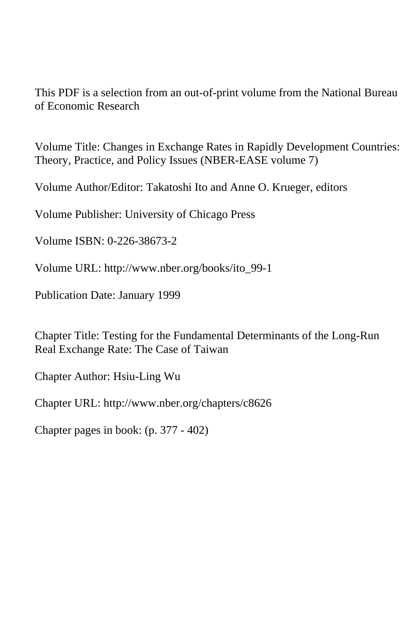This PDF is a selection from an out-of-print volume from the National Bureau of Economic Research

Volume Title: Changes in Exchange Rates in Rapidly Development Countries: Theory, Practice, and Policy Issues (NBER-EASE volume 7)

Volume Author/Editor: Takatoshi Ito and Anne O. Krueger, editors

Volume Publisher: University of Chicago Press

Volume ISBN: 0-226-38673-2

Volume URL: http://www.nber.org/books/ito\_99-1

Publication Date: January 1999

Chapter Title: Testing for the Fundamental Determinants of the Long-Run Real Exchange Rate: The Case of Taiwan

Chapter Author: Hsiu-Ling Wu

Chapter URL: http://www.nber.org/chapters/c8626

Chapter pages in book: (p. 377 - 402)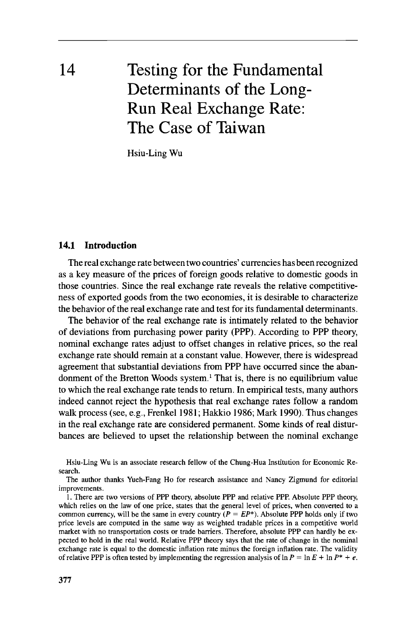# 14 Testing for the Fundamental Determinants of the Long-Run Real Exchange Rate: The Case of Taiwan

Hsiu-Ling Wu

### **14.1 Introduction**

The real exchange rate between two countries' currencies has been recognized as a key measure of the prices **of** foreign goods relative to domestic goods in those countries. Since the real exchange rate reveals the relative competitiveness of exported goods from the two economies, it is desirable to characterize the behavior of the real exchange rate and test for its fundamental determinants.

The behavior of the real exchange rate is intimately related to the behavior of deviations from purchasing power parity (PPP). According to PPP theory, nominal exchange rates adjust to offset changes in relative prices, so the real exchange rate should remain at a constant value. However, there is widespread agreement that substantial deviations from PPP have occurred since the abandonment of the Bretton Woods system.' That is, there is no equilibrium value to which the real exchange rate tends to return. In empirical tests, many authors indeed cannot reject the hypothesis that real exchange rates follow a random walk process (see, e.g., Frenkel 1981; Hakkio 1986; Mark 1990). Thus changes in the real exchange rate are considered permanent. Some kinds of real disturbances are believed to upset the relationship between the nominal exchange

Hsiu-Ling **Wu** is an associate research fellow of the Chung-Hua Institution for Economic Research.

The author thanks Yueh-Fang Ho for research assistance and Nancy Zigmund for editorial improvements.

**1.** There are two versions of PPP theory, absolute PPP and relative PPP. Absolute PPP theory, which relies on the law of one price, states that the general level of prices, when converted to a common currency, will be the same in every country  $(P = E P^*)$ . Absolute PPP holds only if two price levels are computed in the same way as weighted tradable prices in a competitive world market with no transportation costs or trade barriers. Therefore, absolute PPP can hardly be expected to hold in the real world. Relative PPP theory says that the rate of change in the nominal exchange rate is equal to the domestic inflation rate minus the foreign inflation rate. The validity of relative PPP is often tested by implementing the regression analysis of  $\ln P = \ln E + \ln P^* + e$ .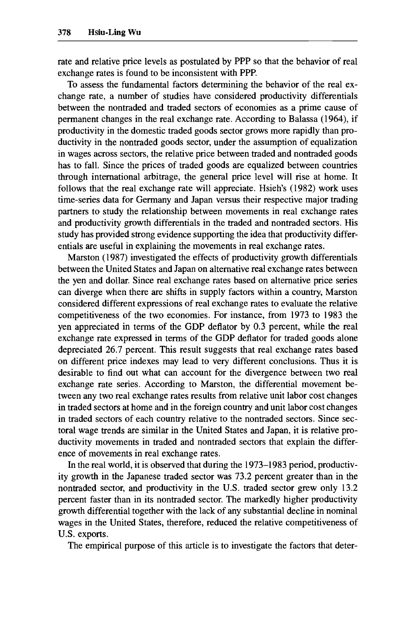rate and relative price levels as postulated by PPP so that the behavior of real exchange rates is found to be inconsistent with PPP.

To assess the fundamental factors determining the behavior of the real exchange rate, a number of studies have considered productivity differentials between the nontraded and traded sectors of economies as a prime cause of permanent changes in the real exchange rate. According to Balassa (1964), if productivity in the domestic traded goods sector grows more rapidly than productivity in the nontraded goods sector, under the assumption of equalization in wages across sectors, the relative price between traded and nontraded goods has to fall. Since the prices of traded goods are equalized between countries through international arbitrage, the general price level will rise at home. It follows that the real exchange rate will appreciate. Hsieh's (1982) work uses time-series data for Germany and Japan versus their respective major trading partners to study the relationship between movements in real exchange rates and productivity growth differentials in the traded and nontraded sectors. His study has provided strong evidence supporting the idea that productivity differentials are useful in explaining the movements in real exchange rates.

Marston (1987) investigated the effects of productivity growth differentials between the United States and Japan on alternative real exchange rates between the yen and dollar. Since real exchange rates based on alternative price series can diverge when there are shifts in supply factors within a country, Marston considered different expressions of real exchange rates to evaluate the relative competitiveness of the two economies. For instance, from 1973 to 1983 the yen appreciated in terms of the GDP deflator by 0.3 percent, while the real exchange rate expressed in terms of the GDP deflator for traded goods alone depreciated 26.7 percent. This result suggests that real exchange rates based on different price indexes may lead to very different conclusions. Thus it is desirable to find out what can account for the divergence between two real exchange rate series. According to Marston, the differential movement between any two real exchange rates results from relative unit labor cost changes in traded sectors at home and in the foreign country and unit labor cost changes in traded sectors of each country relative to the nontraded sectors. Since sectoral wage trends are similar in the United States and Japan, it is relative productivity movements in traded and nontraded sectors that explain the difference of movements in real exchange rates.

In the real world, it is observed that during the 1973-1983 period, productivity growth in the Japanese traded sector was 73.2 percent greater than in the nontraded sector, and productivity in the U.S. traded sector grew only 13.2 percent faster than in its nontraded sector. The markedly higher productivity growth differential together with the lack of any substantial decline in nominal wages in the United States, therefore, reduced the relative competitiveness of U.S. exports.

The empirical purpose of this article is to investigate the factors that deter-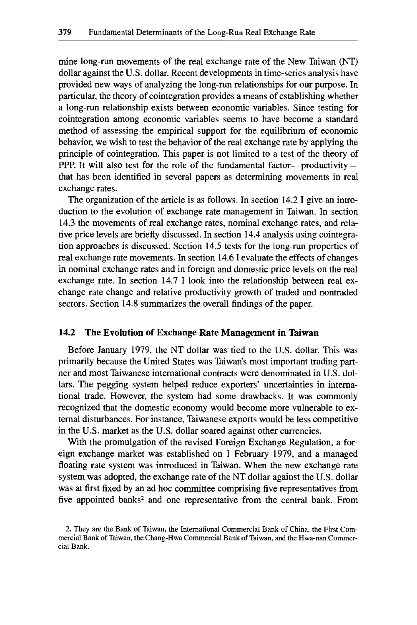mine long-run movements of the real exchange rate of the New Taiwan (NT) dollar against the U.S. dollar. Recent developments in time-series analysis have provided new ways of analyzing the long-run relationships for our purpose. In particular, the theory of cointegration provides a means of establishing whether a long-run relationship exists between economic variables. Since testing for cointegration among economic variables seems to have become a standard method of assessing the empirical support for the equilibrium of economic behavior, we wish to test the behavior of the real exchange rate by applying the principle of cointegration. This paper is not limited to a test of the theory of PPP. It will also test for the role of the fundamental factor---productivity-that has been identified in several papers as determining movements in real exchange rates.

The organization of the article is as follows. In section 14.2 I give an introduction to the evolution of exchange rate management in Taiwan. In section 14.3 the movements of real exchange rates, nominal exchange rates, and relative price levels are briefly discussed. In section 14.4 analysis using cointegration approaches is discussed. Section 14.5 tests for the long-run properties of real exchange rate movements. In section 14.6 **I** evaluate the effects of changes in nominal exchange rates and in foreign and domestic price levels on the real exchange rate. In section 14.7 **I** look into the relationship between real exchange rate change and relative productivity growth of traded and nontraded sectors. Section 14.8 summarizes the overall findings of the paper.

### **14.2 The Evolution of Exchange Rate Management in Taiwan**

Before January 1979, the NT dollar was tied to the **U.S.** dollar. This was primarily because the United States was Taiwan's most important trading partner and most Taiwanese international contracts were denominated in U.S. dollars. The pegging system helped reduce exporters' uncertainties in international trade. However, the system had some drawbacks. It was commonly recognized that the domestic economy would become more vulnerable to external disturbances. For instance, Taiwanese exports would be less competitive in the **U.S.** market as the **U.S.** dollar soared against other currencies.

With the promulgation of the revised Foreign Exchange Regulation, a foreign exchange market was established on 1 February 1979, and a managed floating rate system was introduced in Taiwan. When the new exchange rate system was adopted, the exchange rate of the NT dollar against the U.S. dollar was at first fixed by an ad hoc committee comprising five representatives from five appointed banks<sup>2</sup> and one representative from the central bank. From

<sup>2.</sup> They are the Bank of Taiwan, the International Commercial Bank of China, the First Commercial Bank of Taiwan, the Chang-Hwa Commercial Bank of Taiwan, and the Hwa-nan Commercial Bank.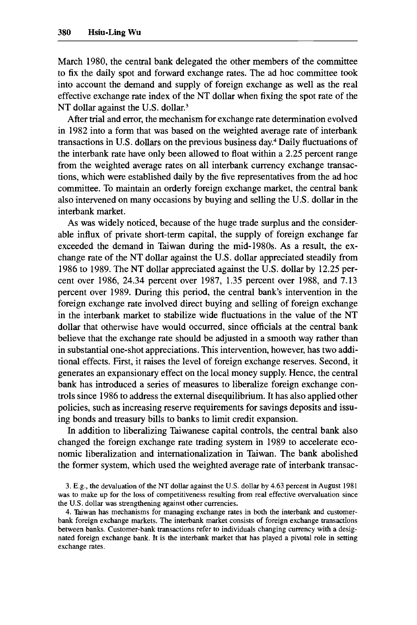March 1980, the central bank delegated the other members of the committee to fix the daily spot and forward exchange rates. The ad hoc committee took into account the demand and supply of foreign exchange as well as the real effective exchange rate index of the NT dollar when fixing the spot rate of the NT dollar against the U.S. dollar.<sup>3</sup>

After trial and error, the mechanism for exchange rate determination evolved in 1982 into a form that was based on the weighted average rate of interbank transactions in U.S. dollars on the previous business day.<sup>4</sup> Daily fluctuations of the interbank rate have only been allowed to float within a 2.25 percent range from the weighted average rates on all interbank currency exchange transactions, which were established daily by the five representatives from the ad hoc committee. To maintain an orderly foreign exchange market, the central bank also intervened on many occasions by buying and selling the **U.S.** dollar in the interbank market.

**As** was widely noticed, because of the huge trade surplus and the considerable influx of private short-term capital, the supply of foreign exchange far exceeded the demand in Taiwan during the **mid-1980s.** As a result, the exchange rate of the NT dollar against the **U.S.** dollar appreciated steadily from 1986 to 1989. The NT dollar appreciated against the **U.S.** dollar by 12.25 percent over 1986, 24.34 percent over 1987, 1.35 percent over 1988, and 7.13 percent over 1989. During this period, the central bank's intervention in the foreign exchange rate involved direct buying and selling of foreign exchange in the interbank market to stabilize wide fluctuations in the value of the NT dollar that otherwise have would occurred, since officials at the central bank believe that the exchange rate should be adjusted in a smooth way rather than in substantial one-shot appreciations. This intervention, however, has two additional effects. First, it raises the level of foreign exchange reserves. Second, it generates an expansionary effect on the local money supply. Hence, the central bank has introduced a series of measures to liberalize foreign exchange controls since 1986 to address the external disequilibrium. It has also applied other policies, such as increasing reserve requirements for savings deposits and issuing bonds and treasury bills to banks to limit credit expansion.

In addition to liberalizing Taiwanese capital controls, the central bank also changed the foreign exchange rate trading system in 1989 to accelerate economic liberalization and internationalization in Taiwan. The bank abolished the former system, which used the weighted average rate of interbank transac-

**4. Taiwan has mechanisms for managing exchange rates in both the interbank and customerbank foreign exchange markets. The interbank market consists of foreign exchange transactions between banks. Customer-bank transactions refer to individuals changing currency with a designated foreign exchange bank. It is the interbank market that has played a pivotal role in setting exchange rates.** 

**<sup>3.</sup> E.g., the devaluation of the NT dollar against the U.S. dollar by 4.63 percent in August 1981 was to make up for the loss of competitiveness resulting from real effective overvaluation since the U.S. dollar was strengthening against other currencies.**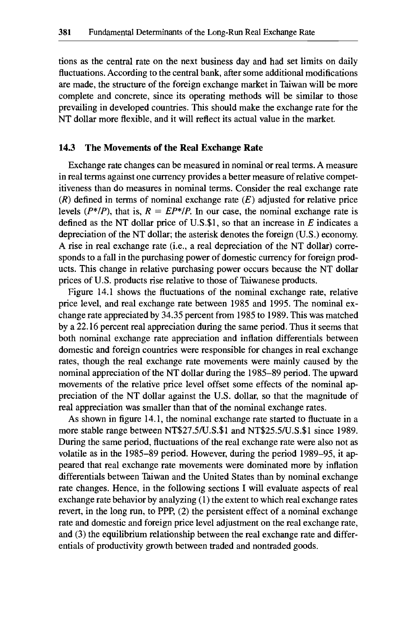tions as the central rate on the next business day and had set limits on daily fluctuations. According to the central bank, after some additional modifications are made, the structure of the foreign exchange market in Taiwan will be more complete and concrete, since its operating methods will be similar to those prevailing in developed countries. This should make the exchange rate for the NT dollar more flexible. and it will reflect its actual value in the market.

### **14.3 The Movements of the Real Exchange Rate**

Exchange rate changes can be measured in nominal or real terms. A measure in real terms against one currency provides a better measure of relative competitiveness than do measures in nominal terms. Consider the real exchange rate  $(R)$  defined in terms of nominal exchange rate  $(E)$  adjusted for relative price levels  $(P^*/P)$ , that is,  $R = EP^*/P$ . In our case, the nominal exchange rate is defined as the NT dollar price of U.S.\$1, so that an increase in  $E$  indicates a depreciation of the NT dollar; the asterisk denotes the foreign (U.S.) economy. A rise in real exchange rate (i.e., a real depreciation of the NT dollar) corresponds to a fall in the purchasing power of domestic currency for foreign products. This change in relative purchasing power occurs because the NT dollar prices of U.S. products rise relative to those of Taiwanese products.

Figure 14.1 shows the fluctuations of the nominal exchange rate, relative price level, and real exchange rate between 1985 and 1995. The nominal exchange rate appreciated by 34.35 percent from 1985 to 1989. This was matched by a 22.16 percent real appreciation during the same period. Thus it seems that both nominal exchange rate appreciation and inflation differentials between domestic and foreign countries were responsible for changes in real exchange rates, though the real exchange rate movements were mainly caused by the nominal appreciation of the NT dollar during the 1985-89 period. The upward movements of the relative price level offset some effects of the nominal appreciation of the NT dollar against the U.S. dollar, so that the magnitude of real appreciation was smaller than that of the nominal exchange rates.

As shown in figure 14.1, the nominal exchange rate started to fluctuate in a more stable range between NT\$27.5/U.S.\$1 and NT\$25.5/U.S.\$1 since 1989. During the same period, fluctuations of the real exchange rate were also not as volatile as in the 1985-89 period. However, during the period 1989-95, it appeared that real exchange rate movements were dominated more by inflation differentials between Taiwan and the United States than by nominal exchange rate changes. Hence, in the following sections I will evaluate aspects of real exchange rate behavior by analyzing (1) the extent to which real exchange rates revert, in the long run, to PPP, (2) the persistent effect of a nominal exchange rate and domestic and foreign price level adjustment on the real exchange rate, and (3) the equilibrium relationship between the real exchange rate and differentials of productivity growth between traded and nontraded goods.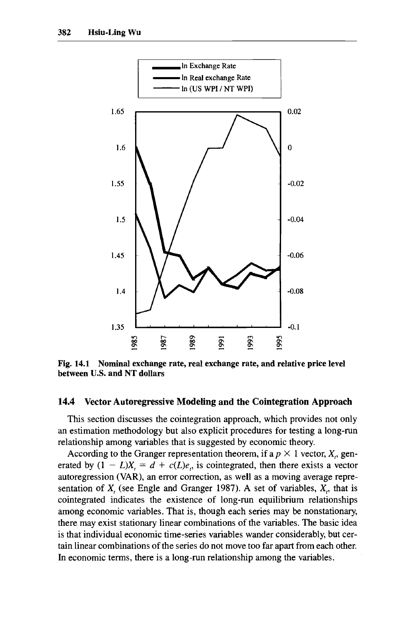

**Fig. 14.1 Nominal exchange rate, real exchange rate, and relative price level between U.S. and NT dollars** 

### **14.4 Vector Autoregressive Modeling and the Cointegration Approach**

This section discusses the cointegration approach, which provides not only an estimation methodology but also explicit procedures for testing a long-run relationship among variables that is suggested by economic theory.

According to the Granger representation theorem, if a  $p \times 1$  vector,  $X_i$ , generated by  $(1 - L)X = d + c(L)e$ , is cointegrated, then there exists a vector autoregression (VAR), an error correction, as well as a moving average representation of *X,* (see Engle and Granger 1987). A set of variables, *X,,* that is cointegrated indicates the existence of long-run equilibrium relationships among economic variables. That is, though each series may be nonstationary, there may exist stationary linear combinations of the variables. The basic idea is that individual economic time-series variables wander considerably, but certain linear combinations of the series do not move too far apart from each other. In economic terms, there is a long-run relationship among the variables.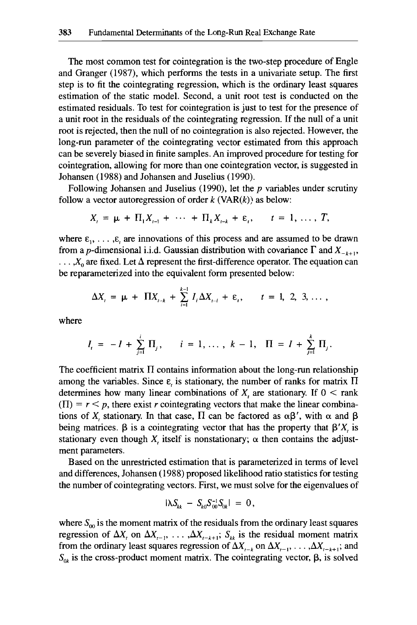The most common test for cointegration is the two-step procedure of Engle and Granger (1987), which performs the tests in a univariate setup. The first step is to fit the cointegrating regression, which is the ordinary least squares estimation of the static model. Second, a unit root test is conducted on the estimated residuals. To test for cointegration is just to test for the presence of a unit root in the residuals of the cointegrating regression. If the null of a unit root is rejected, then the null of no cointegration is also rejected. However, the long-run parameter of the cointegrating vector estimated from this approach can be severely biased in finite samples. An improved procedure for testing for cointegration, allowing for more than one cointegration vector, is suggested in Johansen (1988) and Johansen and Juselius (1990).

Following Johansen and Juselius (1990), let the  $p$  variables under scrutiny follow a vector autoregression of order  $k$  (VAR $(k)$ ) as below:

$$
X_{t} = \mu + \Pi_{1} X_{t-1} + \cdots + \Pi_{k} X_{t-k} + \varepsilon_{t}, \quad t = 1, \ldots, T,
$$

where  $\varepsilon_1, \ldots, \varepsilon_t$  are innovations of this process and are assumed to be drawn from a p-dimensional i.i.d. Gaussian distribution with covariance  $\Gamma$  and  $X_{-k+1}$ ,  $\ldots$ ,  $X_0$  are fixed. Let  $\Delta$  represent the first-difference operator. The equation can be reparameterized into the equivalent form presented below:

$$
\Delta X_t = \mu + \Pi X_{t-k} + \sum_{i=1}^{k-1} I_i \Delta X_{t-i} + \varepsilon_t, \qquad t = 1, 2, 3, \ldots,
$$

where

$$
I_i = -I + \sum_{j=1}^i \Pi_j, \qquad i = 1, \ldots, k-1, \quad \Pi = I + \sum_{j=1}^k \Pi_j.
$$

The coefficient matrix  $\Pi$  contains information about the long-run relationship among the variables. Since  $\varepsilon$ , is stationary, the number of ranks for matrix  $\Pi$ determines how many linear combinations of  $X$ , are stationary. If  $0 <$  rank  $(\Pi) = r \leq p$ , there exist *r* cointegrating vectors that make the linear combinations of *X*, stationary. In that case,  $\Pi$  can be factored as  $\alpha\beta'$ , with  $\alpha$  and  $\beta$ being matrices.  $\beta$  is a cointegrating vector that has the property that  $\beta' X$ , is stationary even though *X*, itself is nonstationary;  $\alpha$  then contains the adjustment parameters.

Based on the unrestricted estimation that is parameterized in terms of level and differences, Johansen (1988) proposed likelihood ratio statistics for testing the number of cointegrating vectors. First, we must solve for the eigenvalues of

$$
|\lambda S_{kk} - S_{k0} S_{00}^{-1} S_{0k}| = 0,
$$

where  $S_{00}$  is the moment matrix of the residuals from the ordinary least squares regression of  $\Delta X$ , on  $\Delta X$ <sub>t-1</sub>, ...,  $\Delta X$ <sub>t-k+1</sub>;  $S_{kk}$  is the residual moment matrix from the ordinary least squares regression of  $\Delta X_{i-k}$  on  $\Delta X_{i-k+1}$ ,  $\ldots, \Delta X_{i-k+1}$ ; and  $S_{0k}$  is the cross-product moment matrix. The cointegrating vector,  $\beta$ , is solved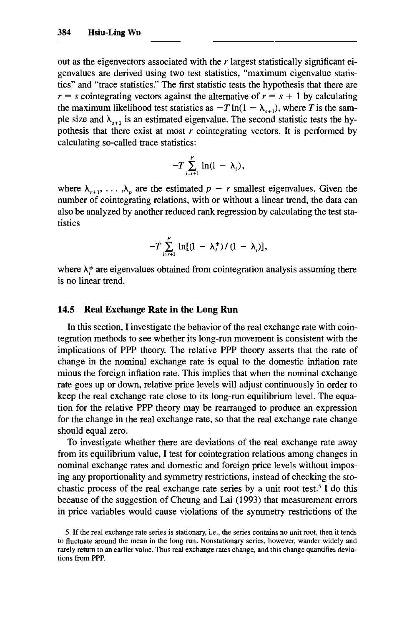out as the eigenvectors associated with the *r* largest statistically significant eigenvalues are derived using two test statistics, "maximum eigenvalue statistics" and "trace statistics." The first statistic tests the hypothesis that there are  $r = s$  cointegrating vectors against the alternative of  $r = s + 1$  by calculating the maximum likelihood test statistics as  $-T \ln(1 - \lambda_{s+1})$ , where *T* is the sample size and  $\lambda_{s+1}$  is an estimated eigenvalue. The second statistic tests the hypothesis that there exist at most *r* cointegrating vectors. It is performed by calculating so-called trace statistics:

$$
-T\sum_{i=r+1}^P\ln(1-\lambda_i),
$$

where  $\lambda_{r+1}$ ,  $\ldots$ ,  $\lambda_p$  are the estimated  $p - r$  smallest eigenvalues. Given the number of cointegrating relations, with or without a linear trend, the data can also be analyzed by another reduced rank regression by calculating the test statistics

$$
-T\sum_{i=r+1}^P \ln[(1-\lambda_i^*)/(1-\lambda_i)],
$$

where  $\lambda_i^*$  are eigenvalues obtained from cointegration analysis assuming there is no linear trend.

#### **14.5 Real Exchange Rate in the Long Run**

In this section, I investigate the behavior of the real exchange rate with cointegration methods to see whether its long-run movement is consistent with the implications of PPP theory. The relative PPP theory asserts that the rate of change in the nominal exchange rate is equal to the domestic inflation rate minus the foreign inflation rate. This implies that when the nominal exchange rate goes up or down, relative price levels will adjust continuously in order to keep the real exchange rate close to its long-run equilibrium level. The equation for the relative PPP theory may be rearranged to produce an expression for the change in the real exchange rate, *so* that the real exchange rate change should equal zero.

To investigate whether there are deviations of the real exchange rate away from its equilibrium value, I test for cointegration relations among changes in nominal exchange rates and domestic and foreign price levels without imposing any proportionality and symmetry restrictions, instead of checking the stochastic process of the real exchange rate series by a unit root test.5 I do this because of the suggestion of Cheung and Lai **(1993)** that measurement errors in price variables would cause violations of the symmetry restrictions of the

*<sup>5.</sup>* **If** the real exchange rate series is stationary, i.e., the series contains no unit root, then it tends to fluctuate around the mean in the long run. Nonstationary series, however, wander widely and rarely return to an earlier value. Thus real exchange rates change, and this change quantifies deviations from PPP.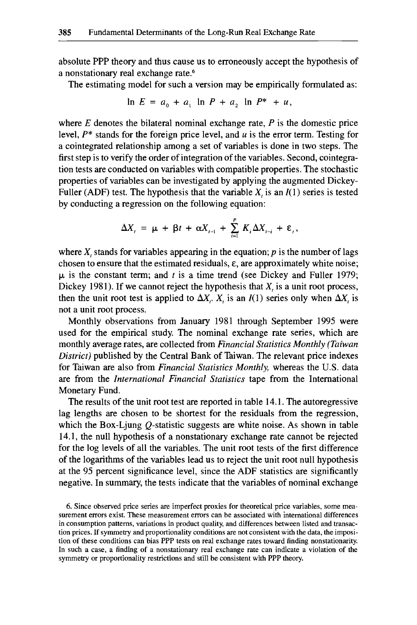absolute PPP theory and thus cause us to erroneously accept the hypothesis of a nonstationary real exchange rate.<sup>6</sup>

The estimating model for such a version may be empirically formulated as:

$$
\ln E = a_0 + a_1 \ln P + a_2 \ln P^* + u,
$$

where  $E$  denotes the bilateral nominal exchange rate,  $P$  is the domestic price level, *P\** stands for the foreign price level, and *u* is the error term. Testing for a cointegrated relationship among a set of variables is done in two steps. The first step is to verify the order of integration of the variables. Second, cointegration tests are conducted on variables with compatible properties. The stochastic properties of variables can be investigated by applying the augmented Dickey-Fuller (ADF) test. The hypothesis that the variable  $X$ , is an  $I(1)$  series is tested by conducting a regression on the following equation:

$$
\Delta X_{t} = \mu + \beta t + \alpha X_{t-1} + \sum_{i=1}^{p} K_{i} \Delta X_{t-i} + \varepsilon_{t},
$$

where  $X$ , stands for variables appearing in the equation;  $p$  is the number of lags chosen to ensure that the estimated residuals, **E,** are approximately white noise;  $\mu$  is the constant term; and *t* is a time trend (see Dickey and Fuller 1979; Dickey 1981). If we cannot reject the hypothesis that  $X$ , is a unit root process, then the unit root test is applied to  $\Delta X$ , *X*, is an *I*(1) series only when  $\Delta X$ , is not a unit root process.

Monthly observations from January 1981 through September 1995 were used for the empirical study. The nominal exchange rate series, which are monthly average rates, are collected from *Financial Statistics Monthly (Taiwan District)* published by the Central Bank of Taiwan. The relevant price indexes for Taiwan are also from *Financial Statistics Monthly,* whereas the **U.S.** data are from the *International Financial Statistics* tape from the International Monetary Fund.

The results of the unit root test are reported in table 14.1. The autoregressive lag lengths are chosen to be shortest for the residuals from the regression, which the Box-Ljung  $Q$ -statistic suggests are white noise. As shown in table 14.1, the null hypothesis of a nonstationary exchange rate cannot be rejected for the log levels of all the variables. The unit root tests of the first difference of the logarithms of the variables lead us to reject the unit root null hypothesis at the 95 percent significance level, since the ADF statistics are significantly negative. In summary, the tests indicate that the variables of nominal exchange

*<sup>6.</sup>* Since observed price series are imperfect proxies for theoretical price variables, some measurement errors exist. These measurement errors can be associated with international differences in consumption patterns, variations in product quality, and differences between listed and transaction prices. If symmetry and proportionality conditions are not consistent with the data, the imposition of these conditions can bias **PPP** tests on real exchange rates toward finding nonstationarity. In such a case, a finding of a nonstationary real exchange rate can indicate a violation of the symmetry **or** proportionality restrictions and still be consistent with **PPP** theory.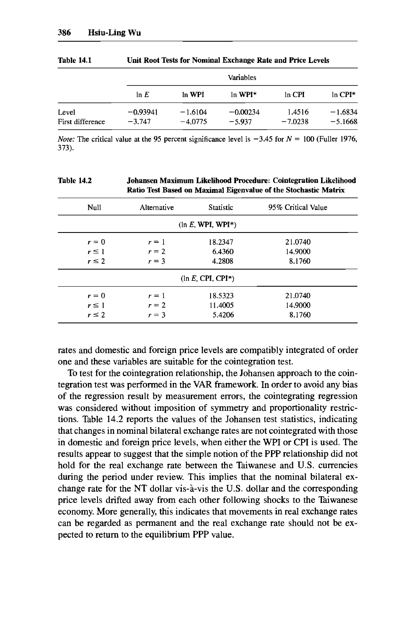|                           |                        | Variables              |                        |                     |                        |
|---------------------------|------------------------|------------------------|------------------------|---------------------|------------------------|
|                           | ln E                   | In WPI                 | In WPI*                | $ln$ CPI            | $ln$ CPI $*$           |
| Level<br>First difference | $-0.93941$<br>$-3.747$ | $-1.6104$<br>$-4.0775$ | $-0.00234$<br>$-5.937$ | 1.4516<br>$-7.0238$ | $-1.6834$<br>$-5.1668$ |

| <b>Table 14.1</b> | Unit Root Tests for Nominal Exchange Rate and Price Levels |
|-------------------|------------------------------------------------------------|
|-------------------|------------------------------------------------------------|

*Note:* The critical value at the 95 percent significance level is  $-3.45$  for  $N = 100$  (Fuller 1976, 373).

| Johansen Maximum Likelihood Procedure: Cointegration Likelihood<br>Table 14.2<br>Ratio Test Based on Maximal Eigenvalue of the Stochastic Matrix |             |                                    |                    |  |
|--------------------------------------------------------------------------------------------------------------------------------------------------|-------------|------------------------------------|--------------------|--|
| Null                                                                                                                                             | Alternative | Statistic                          | 95% Critical Value |  |
|                                                                                                                                                  |             | $(\ln E, WPI, WPI^*)$              |                    |  |
| $r=0$                                                                                                                                            | $r = 1$     | 18.2347                            | 21.0740            |  |
| $r \leq 1$                                                                                                                                       | $r = 2$     | 6.4360                             | 14.9000            |  |
| $r \leq 2$                                                                                                                                       | $r = 3$     | 4.2808                             | 8.1760             |  |
|                                                                                                                                                  |             | $(\ln E, \text{CPI}, \text{CPI*})$ |                    |  |
| $r = 0$                                                                                                                                          | $r=1$       | 18.5323                            | 21.0740            |  |
| $r \leq 1$                                                                                                                                       | $r = 2$     | 11.4005                            | 14.9000            |  |
| $r \leq 2$                                                                                                                                       | $r = 3$     | 5.4206                             | 8.1760             |  |

rates and domestic and foreign price levels are compatibly integrated of order one and these variables are suitable for the cointegration test.

To test for the cointegration relationship, the Johansen approach to the cointegration test was performed in the **VAR** framework. In order to avoid any bias of the regression result by measurement errors, the cointegrating regression was considered without imposition of symmetry and proportionality restrictions. Table 14.2 reports the values of the Johansen test statistics, indicating that changes in nominal bilateral exchange rates are not cointegrated with those in domestic and foreign price levels, when either the WPI or CPI is used. The results appear to suggest that the simple notion of the PPP relationship did not hold for the real exchange rate between the Taiwanese and **U.S.** currencies during the period under review. This implies that the nominal bilateral exchange rate for the NT dollar vis-a-vis the **U.S.** dollar and the corresponding price levels drifted away from each other following shocks to the Taiwanese economy. More generally, this indicates that movements in real exchange rates can be regarded as permanent and the real exchange rate should not be expected to return to the equilibrium PPP value.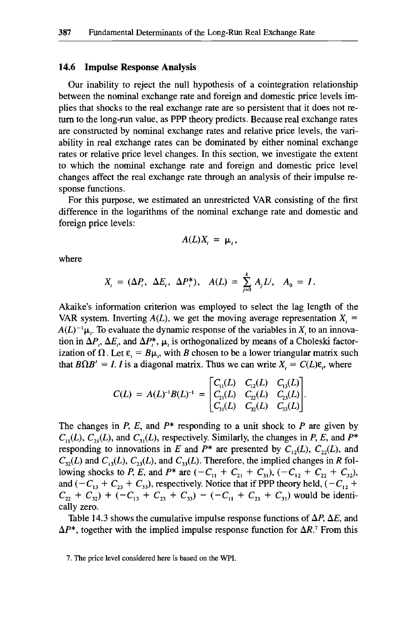### **14.6 Impulse Response Analysis**

Our inability to reject the null hypothesis of a cointegration relationship between the nominal exchange rate and foreign and domestic price levels implies that shocks to the real exchange rate are so persistent that it does not return to the long-run value, as PPP theory predicts. Because real exchange rates are constructed by nominal exchange rates and relative price levels, the variability in real exchange rates can be dominated by either nominal exchange rates or relative price level changes. In this section, we investigate the extent to which the nominal exchange rate and foreign and domestic price level changes affect the real exchange rate through an analysis of their impulse response functions.

For this purpose, we estimated an unrestricted VAR consisting of the first difference in the logarithms of the nominal exchange rate and domestic and foreign price levels:

$$
A(L)X_i = \mu_i,
$$

where

$$
X_{t}=(\Delta P_{t}, \ \Delta E_{t}, \ \Delta P_{t}^{*}), \ \ A(L)=\sum_{j=0}^{k}A_{j}L^{j}, \ \ A_{0}=I.
$$

Akaike's information criterion was employed to select the lag length of the VAR system. Inverting  $A(L)$ , we get the moving average representation  $X<sub>i</sub>$  =  $A(L)^{-1}\mu$ . To evaluate the dynamic response of the variables in *X*, to an innovation in  $\Delta P$ ,  $\Delta E$ , and  $\Delta P$ <sup>\*</sup>,  $\mu$ , is orthogonalized by means of a Choleski factorization of  $\Omega$ . Let  $\varepsilon$ , =  $B\mu$ , with *B* chosen to be a lower triangular matrix such that  $B\Omega B' = I$ . *I* is a diagonal matrix. Thus we can write  $X_i = C(L)\varepsilon_i$ , where

$$
C(L) = A(L)^{-1}B(L)^{-1} = \begin{bmatrix} C_{11}(L) & C_{12}(L) & C_{13}(L) \\ C_{21}(L) & C_{22}(L) & C_{23}(L) \\ C_{31}(L) & C_{32}(L) & C_{33}(L) \end{bmatrix}.
$$

The changes in  $P$ ,  $E$ , and  $P^*$  responding to a unit shock to  $P$  are given by  $C_{11}(L)$ ,  $C_{21}(L)$ , and  $C_{31}(L)$ , respectively. Similarly, the changes in *P*, *E*, and *P*<sup>\*</sup> responding to innovations in *E* and *P*<sup>\*</sup> are presented by  $C_{12}(L)$ ,  $C_{22}(L)$ , and  $C_{32}(L)$  and  $C_{13}(L)$ ,  $C_{23}(L)$ , and  $C_{33}(L)$ . Therefore, the implied changes in *R* following shocks to *P, E,* and *P\** are  $(-C_{11} + C_{21} + C_{31})$ ,  $(-C_{12} + C_{22} + C_{32})$ , and  $(-C_{13} + C_{23} + C_{33})$ , respectively. Notice that if PPP theory held,  $(-C_{12} + C_{23} + C_{33})$  $C_{22} + C_{32}$ ) +  $(-C_{13} + C_{23} + C_{33}) - (-C_{11} + C_{21} + C_{31})$  would be identically zero.

Table 14.3 shows the cumulative impulse response functions of  $\Delta P$ ,  $\Delta E$ , and  $\Delta P^*$ , together with the implied impulse response function for  $\Delta R$ .<sup>7</sup> From this

**<sup>7.</sup> The price level considered here** is **based on the** WI.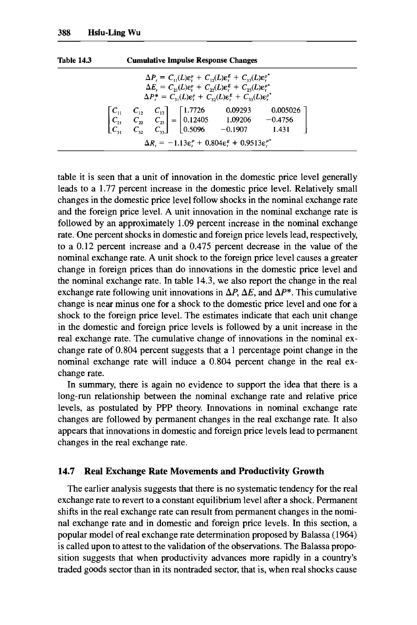| <b>Table 14.3</b>                                                                                                                                                                                                                                                                                                                        | <b>Cumulative Impulse Response Changes</b> |  |  |  |  |
|------------------------------------------------------------------------------------------------------------------------------------------------------------------------------------------------------------------------------------------------------------------------------------------------------------------------------------------|--------------------------------------------|--|--|--|--|
| $\Delta P_i = C_{11}(L)\varepsilon_i^p + C_{12}(L)\varepsilon_i^E + C_{13}(L)\varepsilon_i^{p^*}$<br>$\Delta E_{i} = C_{21}(L)\varepsilon_{i}^{p} + C_{22}(L)\varepsilon_{i}^{E} + C_{23}(L)\varepsilon_{i}^{p*}$<br>$\Delta P_{t}^{*} = C_{31}(L)\varepsilon_{t}^{p} + C_{32}(L)\varepsilon_{t}^{E} + C_{33}(L)\varepsilon_{t}^{p^{*}}$ |                                            |  |  |  |  |
| 0.005026<br>$\begin{bmatrix} C_{11} & C_{12} & C_{13} \\ C_{21} & C_{22} & C_{23} \\ C_{31} & C_{32} & C_{33} \end{bmatrix} = \begin{bmatrix} 1.7726 & 0.09293 & 0.00502 \\ 0.12405 & 1.09206 & -0.4756 \\ 0.5096 & -0.1907 & 1.431 \end{bmatrix}$<br>$\Delta R = -1.13 \varepsilon^p + 0.804 \varepsilon^E + 0.9513 \varepsilon^{p^*}$  |                                            |  |  |  |  |

table it is seen that a unit of innovation in the domestic price level generally leads to a 1.77 percent increase in the domestic price level. Relatively small changes in the domestic price level follow shocks in the nominal exchange rate and the foreign price level. **A** unit innovation in the nominal exchange rate is followed by an approximately 1.09 percent increase in the nominal exchange rate. One percent shocks in domestic and foreign price levels lead, respectively, to a 0.12 percent increase and a 0.475 percent decrease in the value of the nominal exchange rate. **A** unit shock to the foreign price level causes a greater change in foreign prices than do innovations in the domestic price level and the nominal exchange rate. In table **14.3,** we also report the change in the real exchange rate following unit innovations in  $\Delta P$ ,  $\Delta E$ , and  $\Delta P^*$ . This cumulative change is near minus one for a shock to the domestic price level and one for a shock to the foreign price level. The estimates indicate that each unit change in the domestic and foreign price levels is followed by a unit increase in the real exchange rate. The cumulative change of innovations in the nominal exchange rate of 0.804 percent suggests that a 1 percentage point change in the nominal exchange rate will induce a 0.804 percent change in the real exchange rate.

In summary, there is again no evidence to support the idea that there is a long-run relationship between the nominal exchange rate and relative price levels, as postulated by PPP theory. Innovations in nominal exchange rate changes are followed by permanent changes in the real exchange rate. It also appears that innovations in domestic and foreign price levels lead to permanent changes in the real exchange rate.

### **14.7 Real Exchange Rate Movements and Productivity Growth**

The earlier analysis suggests that there is no systematic tendency for the real exchange rate to revert to a constant equilibrium level after a shock. Permanent shifts in the real exchange rate can result from permanent changes in the nominal exchange rate and in domestic and foreign price levels. In this section, a popular model of real exchange rate determination proposed by Balassa (1964) is called upon to attest to the validation of the observations. The Balassa proposition suggests that when productivity advances more rapidly in a country's traded goods sector than in its nontraded sector, that is, when real shocks cause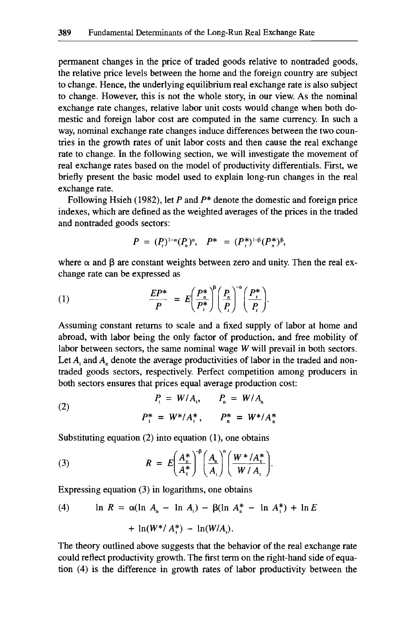permanent changes in the price of traded goods relative to nontraded goods, the relative price levels between the home and the foreign country are subject to change. Hence, the underlying equilibrium real exchange rate is also subject to change. However, this is not the whole story, in our view. As the nominal exchange rate changes, relative labor unit costs would change when both domestic and foreign labor cost are computed in the same currency. In such a way, nominal exchange rate changes induce differences between the two countries in the growth rates of unit labor costs and then cause the real exchange rate to change. In the following section, we will investigate the movement of real exchange rates based on the model of productivity differentials. First, we briefly present the basic model used to explain long-run changes in the real exchange rate.

Following Hsieh **(1982),** let *P* and *P\** denote the domestic and foreign price indexes, which are defined as the weighted averages of the prices in the traded and nontraded goods sectors:

$$
P = (P_t)^{1-\alpha}(P_n)^{\alpha}, \quad P^* = (P_t^*)^{1-\beta}(P_n^*)^{\beta},
$$

where  $\alpha$  and  $\beta$  are constant weights between zero and unity. Then the real exchange rate can be expressed as

$$
(1) \qquad \qquad \frac{EP^*}{P} = E\left(\frac{P_n^*}{P_i^*}\right)^{\beta} \left(\frac{P_n}{P_i}\right)^{-\alpha} \left(\frac{P_i^*}{P_i}\right).
$$

Assuming constant returns to scale and a fixed supply of labor at home and abroad, with labor being the only factor of production, and free mobility of labor between sectors, the same nominal wage W will prevail in both sectors. Let  $A_1$ , and  $A_n$  denote the average productivities of labor in the traded and nontraded goods sectors, respectively. Perfect competition among producers in both sectors ensures that prices equal average production cost:

(2) 
$$
P_t = W/A_t, \qquad P_n = W/A_n
$$

$$
P_t^* = W^*/A_t^*, \qquad P_n^* = W^*/A_n^*
$$

Substituting equation  $(2)$  into equation  $(1)$ , one obtains

(3) 
$$
R = E \left(\frac{A_n^*}{A_t^*}\right)^4 \left(\frac{A_n}{A_t}\right)^{\alpha} \left(\frac{W^*/A_t^*}{W/A_t}\right).
$$

Expressing equation (3) in logarithms, one obtains

(4) 
$$
\ln R = \alpha (\ln A_n - \ln A_t) - \beta (\ln A_n^* - \ln A_t^*) + \ln E + \ln(W^*/A_t^*) - \ln(W/A_t).
$$

The theory outlined above suggests that the behavior **of** the real exchange rate could reflect productivity growth. The first term on the right-hand side **of** equation (4) is the difference in growth rates of labor productivity between the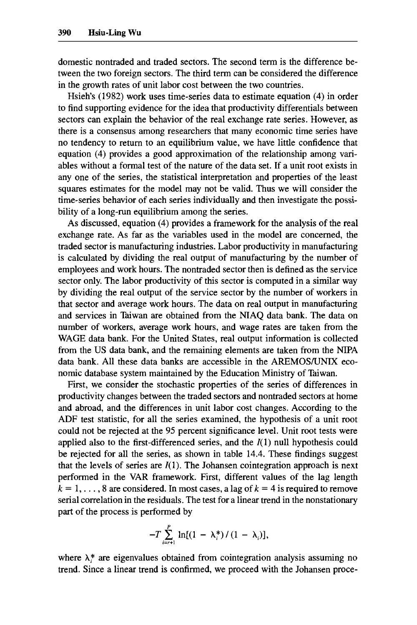domestic nontraded and traded sectors. The second term is the difference between the two foreign sectors. The third term can be considered the difference in the growth rates of unit labor cost between the two countries.

Hsieh's (1982) work uses time-series data to estimate equation (4) in order to find supporting evidence for the idea that productivity differentials between sectors can explain the behavior of the real exchange rate series. However, as there is a consensus among researchers that many economic time series have no tendency to return to an equilibrium value, we have little confidence that equation (4) provides a good approximation of the relationship among variables without a formal test of the nature of the data set. If a unit root exists in any one of the series, the statistical interpretation and properties of the least squares estimates for the model may not be valid. Thus we will consider the time-series behavior of each series individually and then investigate the **possi**bility of a long-run equilibrium among the series.

As discussed, equation (4) provides a framework for the analysis of the real exchange rate. As far as the variables used in the model are concerned, the traded sector is manufacturing industries. Labor productivity in manufacturing is calculated by dividing the real output of manufacturing by the number of employees and work hours. The nontraded sector then is defined as the service sector only. The labor productivity of this sector is computed in a similar way by dividing the real output of the service sector by the number of workers in that sector and average work hours. The data on real output in manufacturing and services in Taiwan are obtained from the NIAQ data bank. The data on number of workers, average work hours, and wage rates are taken from the WAGE data bank. For the United States, real output information is collected from the US data bank, and the remaining elements are taken from the NIPA data bank. All these data banks are accessible in the AREMOS/UNIX economic database system maintained by the Education Ministry of Taiwan.

First, we consider the stochastic properties of the series of differences in productivity changes between the traded sectors and nontraded sectors at home and abroad, and the differences in unit labor cost changes. According to the ADF test statistic, for all the series examined, the hypothesis of a unit root could not be rejected at the 95 percent significance level. Unit root tests were applied also to the first-differenced series, and the  $I(1)$  null hypothesis could be rejected for all the series, as shown in table 14.4. These findings suggest that the levels of series are  $I(1)$ . The Johansen cointegration approach is next performed in the VAR framework. First, different values of the lag length  $k = 1, \ldots, 8$  are considered. In most cases, a lag of  $k = 4$  is required to remove serial correlation in the residuals. The test for a linear trend in the nonstationary part of the process is performed by

$$
-T\sum_{i=r+1}^{P}\ln[(1-\lambda_i^*)/(1-\lambda_i)],
$$

where  $\lambda_i^*$  are eigenvalues obtained from cointegration analysis assuming no trend. Since a linear trend is confirmed, we proceed with the Johansen proce-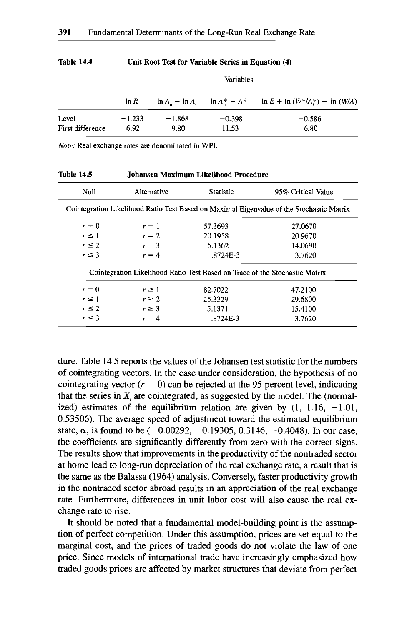|                           |                     | Variables           |                      |                                                                                 |  |
|---------------------------|---------------------|---------------------|----------------------|---------------------------------------------------------------------------------|--|
|                           | ln R                |                     |                      | $\ln A_n = \ln A$ , $\ln A_n^* = A_n^*$ $\ln E + \ln (W^* / A^*) = \ln (W / A)$ |  |
| Level<br>First difference | $-1.233$<br>$-6.92$ | $-1.868$<br>$-9.80$ | $-0.398$<br>$-11.53$ | $-0.586$<br>$-6.80$                                                             |  |

| Table 14.4 | Unit Root Test for Variable Series in Equation (4) |  |  |
|------------|----------------------------------------------------|--|--|
|------------|----------------------------------------------------|--|--|

*Nore:* Real exchange rates are denominated in WPI.

| <b>Table 14.5</b>                                                           | Johansen Maximum Likelihood Procedure                                                    |          |                    |  |  |  |
|-----------------------------------------------------------------------------|------------------------------------------------------------------------------------------|----------|--------------------|--|--|--|
| Null                                                                        | Statistic<br>Alternative                                                                 |          | 95% Critical Value |  |  |  |
|                                                                             | Cointegration Likelihood Ratio Test Based on Maximal Eigenvalue of the Stochastic Matrix |          |                    |  |  |  |
| $r=0$                                                                       | $r = 1$                                                                                  | 57.3693  | 27.0670            |  |  |  |
| $r \leq 1$                                                                  | $r = 2$                                                                                  | 20.1958  | 20.9670            |  |  |  |
| $r \leq 2$                                                                  | $r = 3$                                                                                  | 5.1362   | 14.0690            |  |  |  |
| $r \leq 3$                                                                  | $r = 4$                                                                                  | .8724E-3 | 3.7620             |  |  |  |
| Cointegration Likelihood Ratio Test Based on Trace of the Stochastic Matrix |                                                                                          |          |                    |  |  |  |
| $r=0$                                                                       | $r \geq 1$                                                                               | 82.7022  | 47.2100            |  |  |  |
| $r \leq 1$                                                                  | $r \geq 2$                                                                               | 25.3329  | 29.6800            |  |  |  |
| $r \leq 2$                                                                  | $r \geq 3$                                                                               | 5.1371   | 15.4100            |  |  |  |
| $r \leq 3$                                                                  | $r = 4$                                                                                  | .8724E-3 | 3.7620             |  |  |  |

dure. Table 14.5 reports the values of the Johansen test statistic for the numbers of cointegrating vectors. In the case under consideration, the hypothesis of no cointegrating vector  $(r = 0)$  can be rejected at the 95 percent level, indicating that the series in *X,* are cointegrated, as suggested by the model. The (normalized) estimates of the equilibrium relation are given by  $(1, 1.16, -1.01,$ 0.53506). The average speed of adjustment toward the estimated equilibrium state,  $\alpha$ , is found to be  $(-0.00292, -0.19305, 0.3146, -0.4048)$ . In our case, the coefficients are significantly differently from zero with the correct signs. The results show that improvements in the productivity of the nontraded sector at home lead to long-run depreciation of the real exchange rate, a result that is the same as the Balassa (1964) analysis. Conversely, faster productivity growth in the nontraded sector abroad results in an appreciation of the real exchange rate. Furthermore, differences in unit labor cost will also cause the real exchange rate to rise.

It should be noted that a fundamental model-building point is the assumption of perfect competition. Under this assumption, prices are set equal to the marginal cost, and the prices of traded goods do not violate the law of one price. Since models of international trade have increasingly emphasized how traded goods prices are affected by market structures that deviate from perfect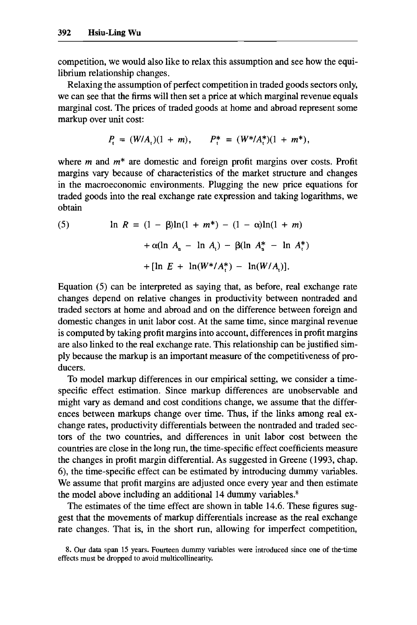competition, we would also like to relax this assumption and see how the equilibrium relationship changes.

Relaxing the assumption of perfect competition in traded goods sectors only, we can see that the firms will then set a price at which marginal revenue equals marginal cost. The prices of traded goods at home and abroad represent some markup over unit cost:

$$
P_t = (W/A_t)(1 + m), \qquad P_t^* = (W^*/A_t^*)(1 + m^*),
$$

where *m* and  $m^*$  are domestic and foreign profit margins over costs. Profit margins vary because of characteristics of the market structure and changes in the macroeconomic environments. Plugging the new price equations for traded goods into the real exchange rate expression and taking logarithms, we obtain

(5) 
$$
\ln R = (1 - \beta)\ln(1 + m^*) - (1 - \alpha)\ln(1 + m) + \alpha(\ln A_n - \ln A_t) - \beta(\ln A_n^* - \ln A_t^*) + [\ln E + \ln(W^*/A_t^*) - \ln(W/A_t)].
$$

Equation (5) can be interpreted as saying that, as before, real exchange rate changes depend on relative changes in productivity between nontraded and traded sectors at home and abroad and on the difference between foreign and domestic changes in unit labor cost. At the same time, since marginal revenue is computed by taking profit margins into account, differences in profit margins are also linked to the real exchange rate. This relationship can be justified simply because the markup is an important measure of the competitiveness of producers.

To model markup differences in our empirical setting, we consider a timespecific effect estimation. Since markup differences are unobservable and might vary as demand and cost conditions change, we assume that the differences between markups change over time. Thus, if the links among real exchange rates, productivity differentials between the nontraded and traded sectors of the two countries, and differences in unit labor cost between the countries are close in the long run, the time-specific effect coefficients measure the changes in profit margin differential. As suggested in Greene (1993, chap. 6), the time-specific effect can be estimated by introducing dummy variables. We assume that profit margins are adjusted once every year and then estimate the model above including an additional 14 dummy variables.\*

The estimates of the time effect are shown in table 14.6. These figures suggest that the movements of markup differentials increase as the real exchange rate changes. That is, in the short run, allowing for imperfect competition,

<sup>8.</sup> Our data span 15 years. Fourteen dummy variables were introduced since one of the time effects must be dropped to avoid multicollinearity.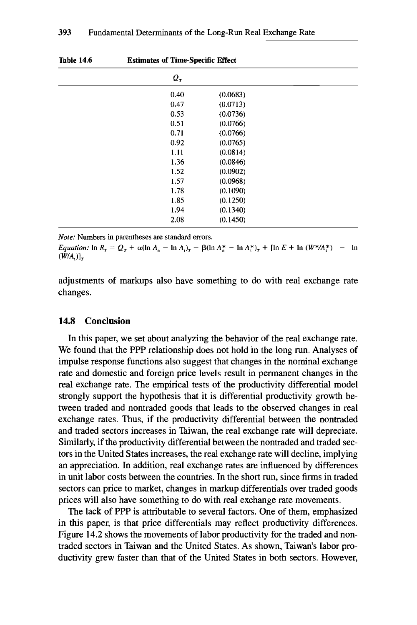| <b>Table 14.6</b> | <b>Estimates of Time-Specific Effect</b> |          |  |
|-------------------|------------------------------------------|----------|--|
|                   | $Q_{\tau}$                               |          |  |
|                   | 0.40                                     | (0.0683) |  |
|                   | 0.47                                     | (0.0713) |  |
|                   | 0.53                                     | (0.0736) |  |
|                   | 0.51                                     | (0.0766) |  |
|                   | 0.71                                     | (0.0766) |  |
|                   | 0.92                                     | (0.0765) |  |
|                   | 1.11                                     | (0.0814) |  |
|                   | 1.36                                     | (0.0846) |  |
|                   | 1.52                                     | (0.0902) |  |
|                   | 1.57                                     | (0.0968) |  |
|                   | 1.78                                     | (0.1090) |  |
|                   | 1.85                                     | (0.1250) |  |
|                   | 1.94                                     | (0.1340) |  |
|                   | 2.08                                     | (0.1450) |  |

*Note:* **Numbers in parentheses are standard errors.** 

*Equation:*  $\ln R_r = Q_r + \alpha (\ln A_n - \ln A_t)_r - \beta (\ln A_n^* - \ln A_t^*)_r + [\ln E + \ln (W^*/A_t^*) - \ln (W^*/A_t^*) - \ln (W^*/A_t^*) - \ln (W^*/A_t^*)$  $(W/A_1)_T$ 

adjustments of markups also have something to do with real exchange rate changes.

### **14.8 Conclusion**

In this paper, we set about analyzing the behavior of the real exchange rate. We found that the PPP relationship does not hold in the long run. Analyses of impulse response functions also suggest that changes in the nominal exchange rate and domestic and foreign price levels result in permanent changes in the real exchange rate. The empirical tests of the productivity differential model strongly support the hypothesis that it is differential productivity growth between traded and nontraded goods that leads to the observed changes in real exchange rates. Thus, if the productivity differential between the nontraded and traded sectors increases in Taiwan, the real exchange rate will depreciate. Similarly, if the productivity differential between the nontraded and traded sectors in the United States increases, the real exchange rate will decline, implying an appreciation. In addition, real exchange rates are influenced by differences in unit labor costs between the countries. In the short run, since firms in traded sectors can price to market, changes in markup differentials over traded goods prices will also have something to do with real exchange rate movements.

The lack of PPP is attributable to several factors. One of them, emphasized in this paper, is that price differentials may reflect productivity differences. Figure 14.2 shows the movements of labor productivity for the traded and nontraded sectors in Taiwan and the United States. As shown, Taiwan's labor productivity grew faster than that of the United States in both sectors. However,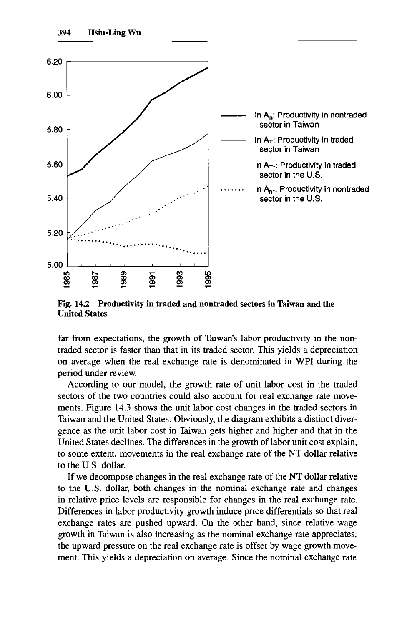

**Fig. 14.2 Productivity in traded and nontraded sectors in Taiwan and the United States** 

far from expectations, the growth of Taiwan's labor productivity in the nontraded sector is faster than that in its traded sector. This yields a depreciation on average when the real exchange rate is denominated in **WPI** during the period under review.

According to our model, the growth rate of unit labor cost in the traded sectors of the two countries could also account for real exchange rate movements. Figure 14.3 shows the unit labor cost changes in the traded sectors in Taiwan and the United States. Obviously, the diagram exhibits a distinct divergence **as** the unit labor cost in Taiwan gets higher and higher and that in the United States declines. The differences in the growth of labor unit cost explain, to some extent, movements in the real exchange rate of the NT dollar relative to the U.S. dollar.

If we decompose changes in the real exchange rate **of** the NT dollar relative to the U.S. dollar, both changes in the nominal exchange rate and changes in relative price levels are responsible for changes in the real exchange rate. Differences in labor productivity growth induce price differentials so that real exchange rates are pushed upward. On the other hand, since relative wage growth in Taiwan is also increasing as the nominal exchange rate appreciates, the upward pressure on the real exchange rate is offset by wage growth movement. This yields a depreciation on average. Since the nominal exchange rate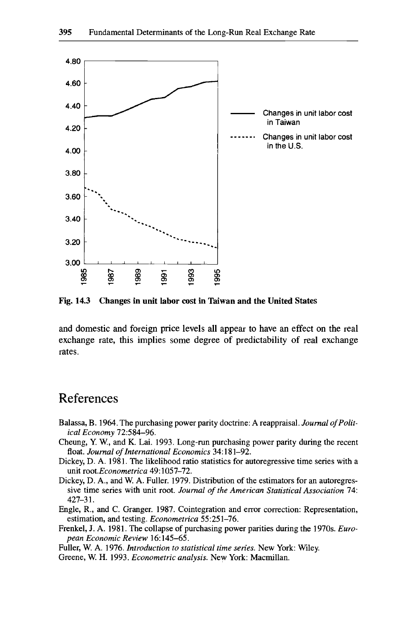

**Fig. 14.3 Changes in unit labor cost in Taiwan and the United States** 

and domestic and foreign price levels all appear to have an effect on the real exchange rate, this implies some degree of predictability of real exchange rates.

# References

- Balassa, **B.** 1964. The purchasing power parity doctrine: **A** reappraisal. *Journal of Political Economy* 72584-96.
- Cheung, Y. W., and **K.** Lai. 1993. Long-run purchasing power parity during the recent float. *Journal of International Economics* 34: 18 1-92.
- Dickey, D. **A.** 1981. The likelihood ratio statistics for autoregressive time series with a unit *root.Econometrica* 49: 1057-72.
- Dickey, D. **A.,** and W. **A.** Fuller. 1979. Distribution of the estimators for **an** autoregressive time series with unit root. *Journal of the American Statistical Association* 74: 427-3 1.
- Engle, R., and C. Granger. 1987. Cointegration and error correction: Representation, estimation, and testing. *Econometrica 55:25* 1-76.
- Frenkel, **J. A.** 1981. The collapse of purchasing power parities during the 1970s. *European Economic Review* 16:145-65.

Fuller, W. **A.** 1976. *Introduction to statistical time series.* New York: Wiley.

Greene, W. **H.** 1993. *Econometric analysis.* New York: Macmillan.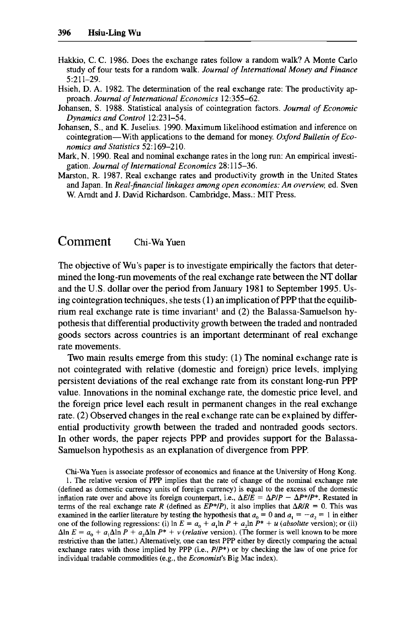- Hakkio, C. C. **1986.** Does the exchange rates follow a random walk? A Monte **Car10**  study of four tests for a random walk. *Journal of International Money and Finance*  **5 :2 1 1-29.**
- Hsieh, D. A. **1982.** The determination of the real exchange rate: The productivity approach. *Journal of International Economics* **12:355-62.**
- Johansen, **S. 1988.** Statistical analysis of cointegration factors. *Journal of Economic Dynamics and Control* **12:23 1-54.**
- Johansen, *S.,* and **K.** Juselius. **1990.** Maximum likelihood estimation and inference on cointegration-With applications to the demand for money. *Oxford Bulletin of Economics and Statistics* **52:169-210.**
- Mark, **N. 1990.** Real and nominal exchange rates in the long run: An empirical investigation. *Journal of International Economics* **28: 115-36.**
- Marston, R. **1987.** Real exchange rates and productivity growth in the United States and Japan. In *Real-financial linkages among open economies: An overview,* ed. Sven W. Amdt and J. David Richardson. Cambridge, Mass.: MIT Press.

## **Comment** Chi-Wa Yuen

The objective of Wu's paper is to investigate empirically the factors that determined the long-run movements of the real exchange rate between the NT dollar and the **U.S.** dollar over the period from January **1981** to September **1995.** Using cointegration techniques, she tests **(1)** an implication of PPP that the equilibrium real exchange rate is time invariant' and (2) the Balassa-Samuelson hypothesis that differential productivity growth between the traded and nontraded goods sectors across countries is an important determinant of real exchange rate movements.

Two main results emerge from this study: (1) The nominal exchange rate is not cointegrated with relative (domestic and foreign) price levels, implying persistent deviations of the real exchange rate from its constant long-run PPP value. Innovations in the nominal exchange rate, the domestic price level, and the foreign price level each result in permanent changes in the real exchange rate. (2) Observed changes in the real exchange rate can be explained by differential productivity growth between the traded and nontraded goods sectors. In other words, the paper rejects PPP and provides support for the Balassa-Samuelson hypothesis as an explanation of divergence from PPP.

Chi-Wa Yuen is associate professor of economics and finance at the University of Hong Kong. 1. The relative version of **PPP** implies that the rate of change of the nominal exchange rate

(defined as domestic currency units of foreign currency) is equal to the excess of the domestic inflation rate over and above its foreign counterpart, i.e.,  $\Delta E/E = \Delta P/P - \Delta P^* / P^*$ . Restated in terms of the real exchange rate R (defined as  $EP^*/P$ ), it also implies that  $\Delta R/R = 0$ . This was examined in the earlier literature by testing the hypothesis that  $a_0 = 0$  and  $a_1 = -a_2 = 1$  in either one of the following regressions: (i)  $\ln E = a_0 + a_1 \ln P + a_2 \ln P^* + u$  (absolute version); or (ii)  $\Delta \ln E = a_0 + a_1 \Delta \ln P + a_2 \Delta \ln P^* + v$  (*relative* version). (The former is well known to be more restrictive than the latter.) Alternatively, one can test **PPP** either by directly comparing the actual exchange rates with those implied by **PPP** (i.e., *P/P\*)* or by checking the law of one price for individual tradable commodities (e.g., the *Economist's* **Big** Mac index).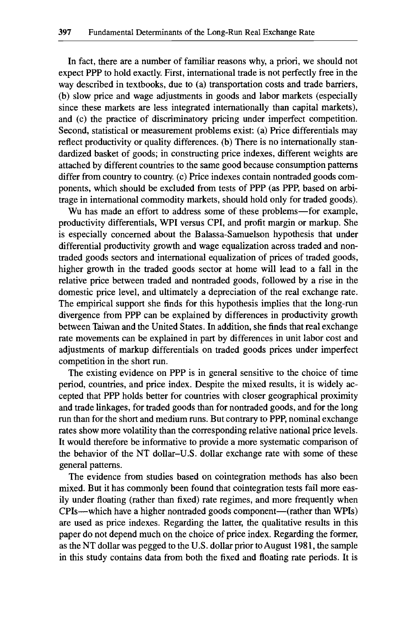In fact, there are a number of familiar reasons why, a priori, we should not expect PPP to hold exactly. First, international trade is not perfectly free in the way described in textbooks, due to (a) transportation costs and trade barriers, (b) slow price and wage adjustments in goods and labor markets (especially since these markets are less integrated internationally than capital markets), and (c) the practice of discriminatory pricing under imperfect competition. Second, statistical or measurement problems exist: (a) Price differentials may reflect productivity or quality differences. (b) There is no internationally standardized basket of goods; in constructing price indexes, different weights are attached by different countries to the same good because consumption patterns differ from country to country. (c) Price indexes contain nontraded goods components, which should be excluded from tests of PPP (as PPP, based on arbitrage in international commodity markets, should hold only for traded goods).

Wu has made an effort to address some of these problems-for example, productivity differentials, WPI versus CPI, and profit margin or markup. She is especially concerned about the Balassa-Samuelson hypothesis that under differential productivity growth and wage equalization across traded and nontraded goods sectors and international equalization of prices of traded goods, higher growth in the traded goods sector at home will lead to a fall in the relative price between traded and nontraded goods, followed by a rise in the domestic price level, and ultimately a depreciation of the real exchange rate. The empirical support she finds for this hypothesis implies that the long-run divergence from PPP can be explained by differences in productivity growth between Taiwan and the United States. In addition, she finds that real exchange rate movements can be explained in part by differences in unit labor cost and adjustments of markup differentials on traded goods prices under imperfect competition in the short run.

The existing evidence on PPP is in general sensitive to the choice of time period, countries, and price index. Despite the mixed results, it is widely accepted that PPP holds better for countries with closer geographical proximity and trade linkages, for traded goods than for nontraded goods, and for the long run than for the short and medium runs. But contrary to PPP, nominal exchange rates show more volatility than the corresponding relative national price levels. It would therefore be informative to provide a more systematic comparison of the behavior of the NT dollar-U.S. dollar exchange rate with some of these general patterns.

The evidence from studies based on cointegration methods has also been mixed. But it has commonly been found that cointegration tests fail more easily under floating (rather than fixed) rate regimes, and more frequently when CPIs-which have a higher nontraded goods component-(rather than WPIs) are used as price indexes. Regarding the latter, the qualitative results in this paper do not depend much on the choice of price index. Regarding the former, as the NT dollar was pegged to the U.S. dollar prior to August 1981, the sample in this study contains data from both the fixed and floating rate periods. It is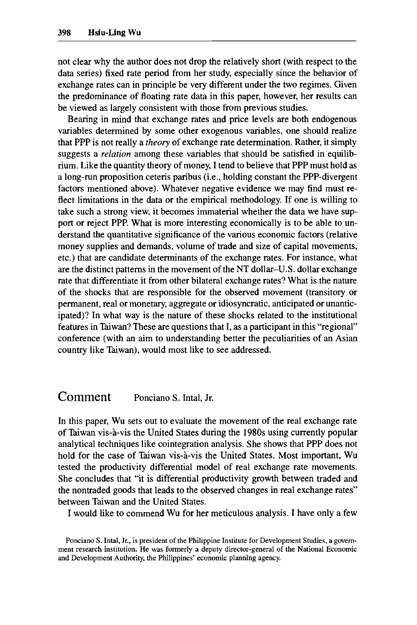not clear why the author does not drop the relatively short (with respect to the data series) fixed rate period from her study, especially since the behavior of exchange rates can in principle be very different under the two regimes. Given the predominance of floating rate data in this paper, however, her results can be viewed as largely consistent with those from previous studies.

Bearing in mind that exchange rates and price levels are both endogenous variables determined by some other exogenous variables, one should realize that PPP is not really a *theory* of exchange rate determination. Rather, it simply suggests a *relation* among these variables that should be satisfied in equilibrium. Like the quantity theory of money, **I** tend to believe that PPP must hold as a long-run proposition ceteris paribus (i.e., holding constant the PPP-divergent factors mentioned above). Whatever negative evidence we may find must reflect limitations in the data or the empirical methodology. If one is willing to take such a strong view, it becomes immaterial whether the data we have support or reject PPP. What is more interesting economically is to be able to understand the quantitative significance of the various economic factors (relative money supplies and demands, volume of trade and size of capital movements, etc.) that are candidate determinants of the exchange rates. For instance, what are the distinct patterns in the movement of the NT dollar-U.S. dollar exchange rate that differentiate it from other bilateral exchange rates? What is the nature of the shocks that are responsible for the observed movement (transitory or permanent, real or monetary, aggregate or idiosyncratic, anticipated or unanticipated)? In what way is the nature of these shocks related to the institutional features in Taiwan? These are questions that **I,** as a participant in this "regional" conference (with an aim to understanding better the peculiarities of an Asian country like Taiwan), would most like to see addressed.

## Comment Ponciano S. Intal, Jr.

In this paper, Wu sets out to evaluate the movement of the real exchange rate of Taiwan vis-8-vis the United States during the 1980s using currently popular analytical techniques like cointegration analysis. She shows that PPP does not hold for the case of Taiwan vis-à-vis the United States. Most important, Wu tested the productivity differential model of real exchange rate movements. She concludes that "it is differential productivity growth between traded and the nontraded goods that leads to the observed changes in real exchange rates" between Taiwan and the United States.

**I** would like to commend Wu for her meticulous analysis. **I** have only a few

Ponciano **S.** Intal, **Jr.,** is president of the Philippine Institute for Development Studies, a government research institution. He was formerly a deputy director-general of the National Economic and Development Authority, the Philippines' economic planning agency.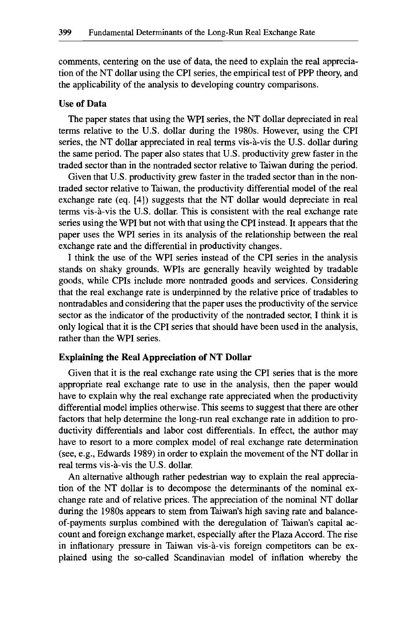comments, centering on the use of data, the need to explain the real appreciation of the NT dollar using the CPI series, the empirical test of PPP theory, and the applicability of the analysis to developing country comparisons.

### **Use of Data**

The paper states that using the WPI series, the NT dollar depreciated in real terms relative to the U.S. dollar during the 1980s. However, using the CPI series, the NT dollar appreciated in real terms vis-à-vis the U.S. dollar during the same period. The paper also states that U.S. productivity grew faster in the traded sector than in the nontraded sector relative to Taiwan during the period.

Given that U.S. productivity grew faster in the traded sector than in the nontraded sector relative to Taiwan, the productivity differential model of the real exchange rate (eq. [4]) suggests that the NT dollar would depreciate in real terms vis-à-vis the U.S. dollar. This is consistent with the real exchange rate series using the WPI but not with that using the CPI instead. It appears that the paper uses the WPI series in its analysis of the relationship between the real exchange rate and the differential in productivity changes.

I think the use of the WPI series instead of the CPI series in the analysis stands on shaky grounds. WPIs are generally heavily weighted by tradable goods, while CPIs include more nontraded goods and services. Considering that the real exchange rate is underpinned by the relative price of tradables to nontradables and considering that the paper uses the productivity of the service sector as the indicator of the productivity of the nontraded sector, **I** think it is only logical that it is the CPI series that should have been used in the analysis, rather than the WPI series.

### **Explaining the Real Appreciation of NT Dollar**

Given that it is the real exchange rate using the CPI series that is the more appropriate real exchange rate to use in the analysis, then the paper would have to explain why the real exchange rate appreciated when the productivity differential model implies otherwise. This seems to suggest that there are other factors that help determine the long-run real exchange rate in addition to productivity differentials and labor cost differentials. In effect, the author may have to resort to a more complex model of real exchange rate determination (see, e.g., Edwards 1989) in order to explain the movement of the NT dollar in real terms vis-à-vis the U.S. dollar.

An alternative although rather pedestrian way to explain the real appreciation of the NT dollar is to decompose the determinants of the nominal exchange rate and of relative prices. The appreciation of the nominal NT dollar during the 1980s appears to stem from Taiwan's high saving rate and balanceof-payments surplus combined with the deregulation of Taiwan's capital account and foreign exchange market, especially after the Plaza Accord. The rise in inflationary pressure in Taiwan vis-à-vis foreign competitors can be explained using the so-called Scandinavian model of inflation whereby the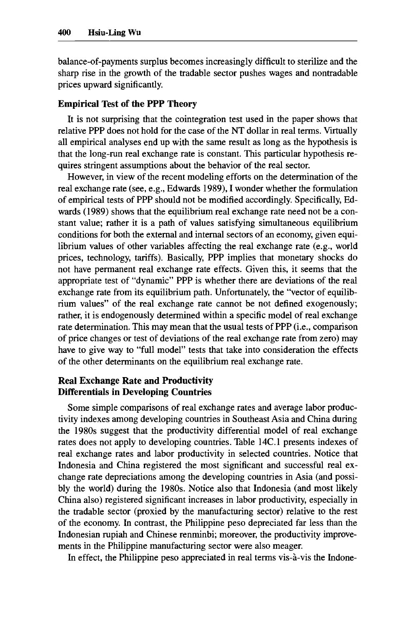balance-of-payments surplus becomes increasingly difficult to sterilize and the sharp rise in the growth of the tradable sector pushes wages and nontradable prices upward significantly.

### **Empirical Test of the PPP Theory**

It is not surprising that the cointegration test used in the paper shows that relative PPP does not hold for the case of the NT dollar in real terms. Virtually all empirical analyses end up with the same result as long as the hypothesis is that the long-run real exchange rate is constant. This particular hypothesis requires stringent assumptions about the behavior of the real sector.

However, in view of the recent modeling efforts on the determination of the real exchange rate (see, e.g., Edwards 1989), I wonder whether the formulation of empirical tests of PPP should not be modified accordingly. Specifically, Edwards (1989) shows that the equilibrium real exchange rate need not be a constant value; rather it is a path of values satisfying simultaneous equilibrium conditions for both the external and internal sectors of an economy, given equilibrium values of other variables affecting the real exchange rate (e.g., world prices, technology, tariffs). Basically, PPP implies that monetary shocks do not have permanent real exchange rate effects. Given this, it seems that the appropriate test of "dynamic" PPP is whether there are deviations of the real exchange rate from its equilibrium path. Unfortunately, the "vector of equilibrium values" of the real exchange rate cannot be not defined exogenously; rather, it is endogenously determined within a specific model of real exchange rate determination. This may mean that the usual tests of PPP (i.e., comparison of price changes or test **of** deviations of the real exchange rate from zero) may have to give way to "full model" tests that take into consideration the effects of the other determinants on the equilibrium real exchange rate.

### **Real Exchange Rate and Productivity Differentials in Developing Countries**

Some simple comparisons of real exchange rates and average labor productivity indexes among developing countries in Southeast Asia and China during the 1980s suggest that the productivity differential model of real exchange rates does not apply to developing countries. Table 14C.1 presents indexes of real exchange rates and labor productivity in selected countries. Notice that Indonesia and China registered the most significant and successful real exchange rate depreciations among the developing countries in Asia (and possibly the world) during the 1980s. Notice also that Indonesia (and most likely China also) registered significant increases in labor productivity, especially in the tradable sector (proxied by the manufacturing sector) relative to the rest of the economy. In contrast, the Philippine peso depreciated far less than the Indonesian rupiah and Chinese renminbi; moreover, the productivity improvements in the Philippine manufacturing sector were also meager.

In effect, the Philippine peso appreciated in real terms vis-à-vis the Indone-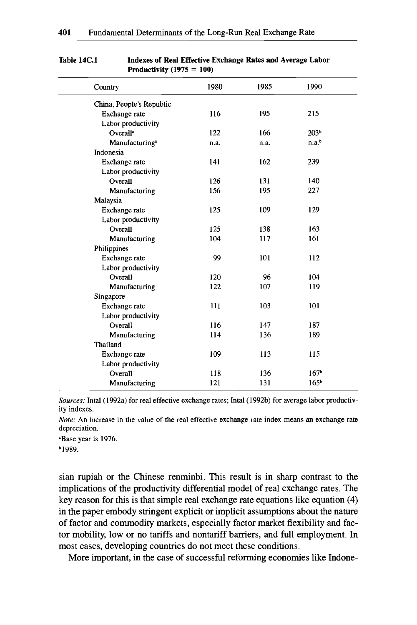| Country                    | 1980 | 1985 | 1990             |  |
|----------------------------|------|------|------------------|--|
| China, People's Republic   |      |      |                  |  |
| Exchange rate              | 116  | 195  | 215              |  |
| Labor productivity         |      |      |                  |  |
| Overall <sup>a</sup>       | 122  | 166  | 203 <sup>b</sup> |  |
| Manufacturing <sup>a</sup> | n.a. | n.a. | n.a.b            |  |
| Indonesia                  |      |      |                  |  |
| Exchange rate              | 141  | 162  | 239              |  |
| Labor productivity         |      |      |                  |  |
| Overall                    | 126  | 131  | 140              |  |
| Manufacturing              | 156  | 195  | 227              |  |
| Malaysia                   |      |      |                  |  |
| Exchange rate              | 125  | 109  | 129              |  |
| Labor productivity         |      |      |                  |  |
| Overall                    | 125  | 138  | 163              |  |
| Manufacturing              | 104  | 117  | 161              |  |
| Philippines                |      |      |                  |  |
| Exchange rate              | 99   | 101  | 112              |  |
| Labor productivity         |      |      |                  |  |
| <b>Overall</b>             | 120  | 96   | 104              |  |
| Manufacturing              | 122  | 107  | 119              |  |
| Singapore                  |      |      |                  |  |
| Exchange rate              | 111  | 103  | 101              |  |
| Labor productivity         |      |      |                  |  |
| Overall                    | 116  | 147  | 187              |  |
| Manufacturing              | 114  | 136  | 189              |  |
| Thailand                   |      |      |                  |  |
| Exchange rate              | 109  | 113  | 115              |  |
| Labor productivity         |      |      |                  |  |
| Overall                    | 118  | 136  | $167^{\circ}$    |  |
| Manufacturing              | 121  | 131  | 165 <sup>b</sup> |  |

### **Table 14C.1 Indexes of Real Effective Exchange Rates and Average Labor Productivity (1975** = **100)**

Sources: Intal (1992a) for real effective exchange rates; Intal (1992b) for average labor productivity indexes.

*Nore;* An increase in the value of the real effective exchange rate index means an exchange rate depreciation.

"Base year is 1976.

b1989.

sian rupiah or the Chinese renminbi. This result is in sharp contrast to the implications of the productivity differential model of real exchange rates. The key reason for this is that simple real exchange rate equations like equation (4) in the paper embody stringent explicit **or** implicit assumptions about the nature of factor and commodity markets, especially factor market flexibility and factor mobility, low or no tariffs and nontariff barriers, and full employment. In most cases, developing countries do not meet these conditions.

More important, in the case of successful reforming economies like Indone-